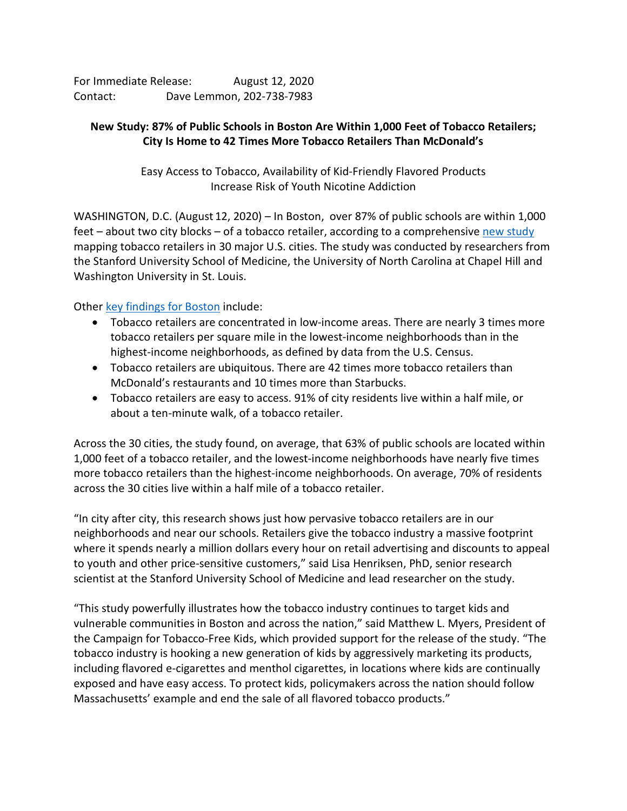For Immediate Release: August 12, 2020 Contact: Dave Lemmon, 202-738-7983

## **New Study: 87% of Public Schools in Boston Are Within 1,000 Feet of Tobacco Retailers; City Is Home to 42 Times More Tobacco Retailers Than McDonald's**

Easy Access to Tobacco, Availability of Kid-Friendly Flavored Products Increase Risk of Youth Nicotine Addiction

WASHINGTON, D.C. (August 12, 2020) – In Boston, over 87% of public schools are within 1,000 feet – about two city blocks – of a tobacco retailer, according to a comprehensive [new study](https://aspirecenter.org/tobaccoretailers/) mapping tobacco retailers in 30 major U.S. cities. The study was conducted by researchers from the Stanford University School of Medicine, the University of North Carolina at Chapel Hill and Washington University in St. Louis.

Other [key findings for Boston](https://aspirecenter.org/boston/) include:

- Tobacco retailers are concentrated in low-income areas. There are nearly 3 times more tobacco retailers per square mile in the lowest-income neighborhoods than in the highest-income neighborhoods, as defined by data from the U.S. Census.
- Tobacco retailers are ubiquitous. There are 42 times more tobacco retailers than McDonald's restaurants and 10 times more than Starbucks.
- Tobacco retailers are easy to access. 91% of city residents live within a half mile, or about a ten-minute walk, of a tobacco retailer.

Across the 30 cities, the study found, on average, that 63% of public schools are located within 1,000 feet of a tobacco retailer, and the lowest-income neighborhoods have nearly five times more tobacco retailers than the highest-income neighborhoods. On average, 70% of residents across the 30 cities live within a half mile of a tobacco retailer.

"In city after city, this research shows just how pervasive tobacco retailers are in our neighborhoods and near our schools. Retailers give the tobacco industry a massive footprint where it spends nearly a million dollars every hour on retail advertising and discounts to appeal to youth and other price-sensitive customers," said Lisa Henriksen, PhD, senior research scientist at the Stanford University School of Medicine and lead researcher on the study.

"This study powerfully illustrates how the tobacco industry continues to target kids and vulnerable communities in Boston and across the nation," said Matthew L. Myers, President of the Campaign for Tobacco-Free Kids, which provided support for the release of the study. "The tobacco industry is hooking a new generation of kids by aggressively marketing its products, including flavored e-cigarettes and menthol cigarettes, in locations where kids are continually exposed and have easy access. To protect kids, policymakers across the nation should follow Massachusetts' example and end the sale of all flavored tobacco products."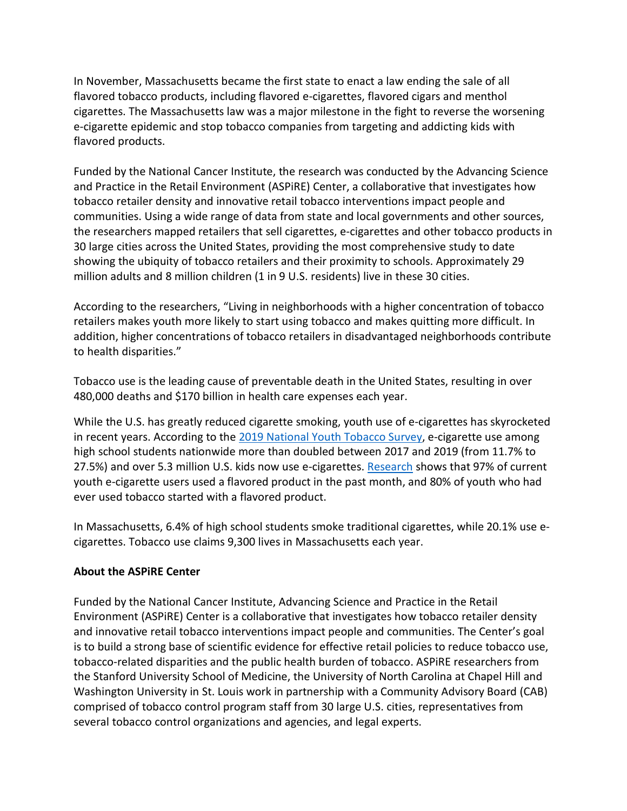In November, Massachusetts became the first state to enact a law ending the sale of all flavored tobacco products, including flavored e-cigarettes, flavored cigars and menthol cigarettes. The Massachusetts law was a major milestone in the fight to reverse the worsening e-cigarette epidemic and stop tobacco companies from targeting and addicting kids with flavored products.

Funded by the National Cancer Institute, the research was conducted by the Advancing Science and Practice in the Retail Environment (ASPiRE) Center, a collaborative that investigates how tobacco retailer density and innovative retail tobacco interventions impact people and communities. Using a wide range of data from state and local governments and other sources, the researchers mapped retailers that sell cigarettes, e-cigarettes and other tobacco products in 30 large cities across the United States, providing the most comprehensive study to date showing the ubiquity of tobacco retailers and their proximity to schools. Approximately 29 million adults and 8 million children (1 in 9 U.S. residents) live in these 30 cities.

According to the researchers, "Living in neighborhoods with a higher concentration of tobacco retailers makes youth more likely to start using tobacco and makes quitting more difficult. In addition, higher concentrations of tobacco retailers in disadvantaged neighborhoods contribute to health disparities."

Tobacco use is the leading cause of preventable death in the United States, resulting in over 480,000 deaths and \$170 billion in health care expenses each year.

While the U.S. has greatly reduced cigarette smoking, youth use of e-cigarettes has skyrocketed in recent years. According to the [2019 National Youth Tobacco Survey,](https://www.fda.gov/news-events/press-announcements/trump-administration-combating-epidemic-youth-e-cigarette-use-plan-clear-market-unauthorized-non) e-cigarette use among high school students nationwide more than doubled between 2017 and 2019 (from 11.7% to 27.5%) and over 5.3 million U.S. kids now use e-cigarettes[. Research](https://www.tobaccofreekids.org/assets/factsheets/0383.pdf) shows that 97% of current youth e-cigarette users used a flavored product in the past month, and 80% of youth who had ever used tobacco started with a flavored product.

In Massachusetts, 6.4% of high school students smoke traditional cigarettes, while 20.1% use ecigarettes. Tobacco use claims 9,300 lives in Massachusetts each year.

## **About the ASPiRE Center**

Funded by the National Cancer Institute, Advancing Science and Practice in the Retail Environment (ASPiRE) Center is a collaborative that investigates how tobacco retailer density and innovative retail tobacco interventions impact people and communities. The Center's goal is to build a strong base of scientific evidence for effective retail policies to reduce tobacco use, tobacco-related disparities and the public health burden of tobacco. ASPiRE researchers from the Stanford University School of Medicine, the University of North Carolina at Chapel Hill and Washington University in St. Louis work in partnership with a Community Advisory Board (CAB) comprised of tobacco control program staff from 30 large U.S. cities, representatives from several tobacco control organizations and agencies, and legal experts.